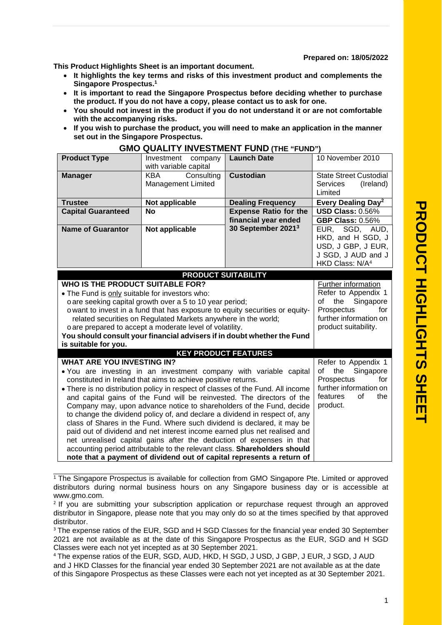**Prepared on: 18/05/2022**

**This Product Highlights Sheet is an important document.** 

- **It highlights the key terms and risks of this investment product and complements the Singapore Prospectus.<sup>1</sup>**
- **It is important to read the Singapore Prospectus before deciding whether to purchase the product. If you do not have a copy, please contact us to ask for one.**
- **You should not invest in the product if you do not understand it or are not comfortable with the accompanying risks.**
- **If you wish to purchase the product, you will need to make an application in the manner set out in the Singapore Prospectus.**

| <b>Product Type</b>                                                                                                                 | Investment company                                       | <b>Launch Date</b>             | 10 November 2010                         |
|-------------------------------------------------------------------------------------------------------------------------------------|----------------------------------------------------------|--------------------------------|------------------------------------------|
|                                                                                                                                     | with variable capital                                    |                                |                                          |
| <b>Manager</b>                                                                                                                      | <b>KBA</b><br>Consulting                                 | <b>Custodian</b>               | <b>State Street Custodial</b>            |
|                                                                                                                                     | <b>Management Limited</b>                                |                                | <b>Services</b><br>(Ireland)             |
|                                                                                                                                     |                                                          |                                | Limited                                  |
| <b>Trustee</b>                                                                                                                      | Not applicable                                           | <b>Dealing Frequency</b>       | Every Dealing Day <sup>2</sup>           |
| <b>Capital Guaranteed</b>                                                                                                           | <b>No</b>                                                | <b>Expense Ratio for the</b>   | <b>USD Class: 0.56%</b>                  |
|                                                                                                                                     |                                                          | financial year ended           | <b>GBP Class: 0.56%</b>                  |
| <b>Name of Guarantor</b>                                                                                                            | Not applicable                                           | 30 September 2021 <sup>3</sup> | EUR, SGD, AUD,                           |
|                                                                                                                                     |                                                          |                                | HKD, and H SGD, J                        |
|                                                                                                                                     |                                                          |                                | USD, J GBP, J EUR,<br>J SGD, J AUD and J |
|                                                                                                                                     |                                                          |                                | HKD Class: N/A <sup>4</sup>              |
|                                                                                                                                     |                                                          |                                |                                          |
|                                                                                                                                     | <b>PRODUCT SUITABILITY</b>                               |                                |                                          |
| WHO IS THE PRODUCT SUITABLE FOR?                                                                                                    |                                                          |                                | Further information                      |
| . The Fund is only suitable for investors who:                                                                                      |                                                          |                                | Refer to Appendix 1                      |
|                                                                                                                                     | o are seeking capital growth over a 5 to 10 year period; |                                | Singapore<br>of<br>the<br>Prospectus     |
| o want to invest in a fund that has exposure to equity securities or equity-                                                        | for<br>further information on                            |                                |                                          |
| related securities on Regulated Markets anywhere in the world;                                                                      |                                                          |                                | product suitability.                     |
| o are prepared to accept a moderate level of volatility.<br>You should consult your financial advisers if in doubt whether the Fund |                                                          |                                |                                          |
| is suitable for you.                                                                                                                |                                                          |                                |                                          |
|                                                                                                                                     | <b>KEY PRODUCT FEATURES</b>                              |                                |                                          |
| <b>WHAT ARE YOU INVESTING IN?</b>                                                                                                   |                                                          |                                | Refer to Appendix 1                      |
| . You are investing in an investment company with variable capital                                                                  | of the<br>Singapore                                      |                                |                                          |
| constituted in Ireland that aims to achieve positive returns.                                                                       | Prospectus<br>for                                        |                                |                                          |
| • There is no distribution policy in respect of classes of the Fund. All income                                                     | further information on                                   |                                |                                          |
| and capital gains of the Fund will be reinvested. The directors of the                                                              | features<br>the<br>0f                                    |                                |                                          |
| Company may, upon advance notice to shareholders of the Fund, decide                                                                | product.                                                 |                                |                                          |
| to change the dividend policy of, and declare a dividend in respect of, any                                                         |                                                          |                                |                                          |
| class of Shares in the Fund. Where such dividend is declared, it may be                                                             |                                                          |                                |                                          |
| paid out of dividend and net interest income earned plus net realised and                                                           |                                                          |                                |                                          |
| net unrealised capital gains after the deduction of expenses in that                                                                |                                                          |                                |                                          |
| accounting period attributable to the relevant class. Shareholders should                                                           |                                                          |                                |                                          |
| note that a payment of dividend out of capital represents a return of                                                               |                                                          |                                |                                          |

## **GMO QUALITY INVESTMENT FUND (THE "FUND")**

<sup>1</sup> The Singapore Prospectus is available for collection from GMO Singapore Pte. Limited or approved distributors during normal business hours on any Singapore business day or is accessible at www.gmo.com.

<sup>&</sup>lt;sup>2</sup> If you are submitting your subscription application or repurchase request through an approved distributor in Singapore, please note that you may only do so at the times specified by that approved distributor.

<sup>&</sup>lt;sup>3</sup> The expense ratios of the EUR, SGD and H SGD Classes for the financial year ended 30 September 2021 are not available as at the date of this Singapore Prospectus as the EUR, SGD and H SGD Classes were each not yet incepted as at 30 September 2021.

<sup>4</sup> The expense ratios of the EUR, SGD, AUD, HKD, H SGD, J USD, J GBP, J EUR, J SGD, J AUD and J HKD Classes for the financial year ended 30 September 2021 are not available as at the date of this Singapore Prospectus as these Classes were each not yet incepted as at 30 September 2021.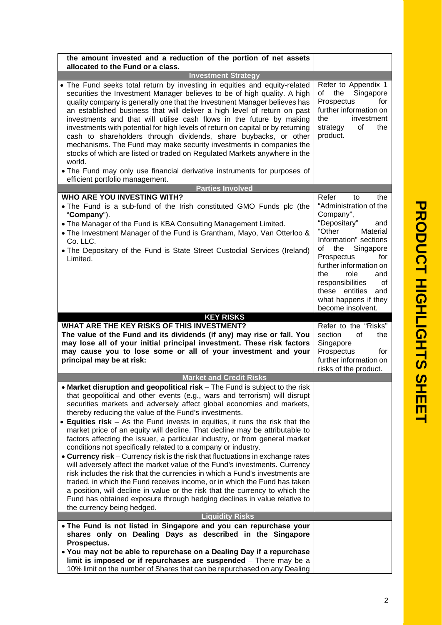| the amount invested and a reduction of the portion of net assets<br>allocated to the Fund or a class.                                                                                                                                                                                                                                                                                                                                                                                                                                                                                                                                                                                                                                                                                                                                                                                                                                                                                                                                                                                                                              |                                                                                                                                                                                                                                                                                                           |
|------------------------------------------------------------------------------------------------------------------------------------------------------------------------------------------------------------------------------------------------------------------------------------------------------------------------------------------------------------------------------------------------------------------------------------------------------------------------------------------------------------------------------------------------------------------------------------------------------------------------------------------------------------------------------------------------------------------------------------------------------------------------------------------------------------------------------------------------------------------------------------------------------------------------------------------------------------------------------------------------------------------------------------------------------------------------------------------------------------------------------------|-----------------------------------------------------------------------------------------------------------------------------------------------------------------------------------------------------------------------------------------------------------------------------------------------------------|
| <b>Investment Strategy</b>                                                                                                                                                                                                                                                                                                                                                                                                                                                                                                                                                                                                                                                                                                                                                                                                                                                                                                                                                                                                                                                                                                         |                                                                                                                                                                                                                                                                                                           |
| • The Fund seeks total return by investing in equities and equity-related<br>securities the Investment Manager believes to be of high quality. A high<br>quality company is generally one that the Investment Manager believes has<br>an established business that will deliver a high level of return on past<br>investments and that will utilise cash flows in the future by making<br>investments with potential for high levels of return on capital or by returning<br>cash to shareholders through dividends, share buybacks, or other<br>mechanisms. The Fund may make security investments in companies the<br>stocks of which are listed or traded on Regulated Markets anywhere in the<br>world.<br>• The Fund may only use financial derivative instruments for purposes of                                                                                                                                                                                                                                                                                                                                            | Refer to Appendix 1<br>Singapore<br>of<br>the<br>for<br>Prospectus<br>further information on<br>the<br>investment<br>0f<br>the<br>strategy<br>product.                                                                                                                                                    |
| efficient portfolio management.                                                                                                                                                                                                                                                                                                                                                                                                                                                                                                                                                                                                                                                                                                                                                                                                                                                                                                                                                                                                                                                                                                    |                                                                                                                                                                                                                                                                                                           |
| <b>Parties Involved</b>                                                                                                                                                                                                                                                                                                                                                                                                                                                                                                                                                                                                                                                                                                                                                                                                                                                                                                                                                                                                                                                                                                            |                                                                                                                                                                                                                                                                                                           |
| <b>WHO ARE YOU INVESTING WITH?</b><br>. The Fund is a sub-fund of the Irish constituted GMO Funds plc (the<br>"Company").<br>• The Manager of the Fund is KBA Consulting Management Limited.<br>• The Investment Manager of the Fund is Grantham, Mayo, Van Otterloo &<br>Co. LLC.<br>. The Depositary of the Fund is State Street Custodial Services (Ireland)<br>Limited.                                                                                                                                                                                                                                                                                                                                                                                                                                                                                                                                                                                                                                                                                                                                                        | Refer<br>the<br>to<br>"Administration of the<br>Company",<br>"Depositary"<br>and<br>"Other<br>Material<br>Information" sections<br>Singapore<br>of<br>the<br>Prospectus<br>for<br>further information on<br>role<br>and<br>the<br>responsibilities<br>οf<br>these entities<br>and<br>what happens if they |
|                                                                                                                                                                                                                                                                                                                                                                                                                                                                                                                                                                                                                                                                                                                                                                                                                                                                                                                                                                                                                                                                                                                                    | become insolvent.                                                                                                                                                                                                                                                                                         |
|                                                                                                                                                                                                                                                                                                                                                                                                                                                                                                                                                                                                                                                                                                                                                                                                                                                                                                                                                                                                                                                                                                                                    |                                                                                                                                                                                                                                                                                                           |
| <b>KEY RISKS</b>                                                                                                                                                                                                                                                                                                                                                                                                                                                                                                                                                                                                                                                                                                                                                                                                                                                                                                                                                                                                                                                                                                                   |                                                                                                                                                                                                                                                                                                           |
| WHAT ARE THE KEY RISKS OF THIS INVESTMENT?<br>The value of the Fund and its dividends (if any) may rise or fall. You<br>may lose all of your initial principal investment. These risk factors<br>may cause you to lose some or all of your investment and your<br>principal may be at risk:                                                                                                                                                                                                                                                                                                                                                                                                                                                                                                                                                                                                                                                                                                                                                                                                                                        | Refer to the "Risks"<br>section<br>0f<br>the<br>Singapore<br>Prospectus<br>for<br>further information on<br>risks of the product.                                                                                                                                                                         |
| <b>Market and Credit Risks</b>                                                                                                                                                                                                                                                                                                                                                                                                                                                                                                                                                                                                                                                                                                                                                                                                                                                                                                                                                                                                                                                                                                     |                                                                                                                                                                                                                                                                                                           |
| • Market disruption and geopolitical risk - The Fund is subject to the risk<br>that geopolitical and other events (e.g., wars and terrorism) will disrupt<br>securities markets and adversely affect global economies and markets,<br>thereby reducing the value of the Fund's investments.<br>• Equities risk – As the Fund invests in equities, it runs the risk that the<br>market price of an equity will decline. That decline may be attributable to<br>factors affecting the issuer, a particular industry, or from general market<br>conditions not specifically related to a company or industry.<br>• Currency risk – Currency risk is the risk that fluctuations in exchange rates<br>will adversely affect the market value of the Fund's investments. Currency<br>risk includes the risk that the currencies in which a Fund's investments are<br>traded, in which the Fund receives income, or in which the Fund has taken<br>a position, will decline in value or the risk that the currency to which the<br>Fund has obtained exposure through hedging declines in value relative to<br>the currency being hedged. |                                                                                                                                                                                                                                                                                                           |
| <b>Liquidity Risks</b><br>• The Fund is not listed in Singapore and you can repurchase your                                                                                                                                                                                                                                                                                                                                                                                                                                                                                                                                                                                                                                                                                                                                                                                                                                                                                                                                                                                                                                        |                                                                                                                                                                                                                                                                                                           |

**T**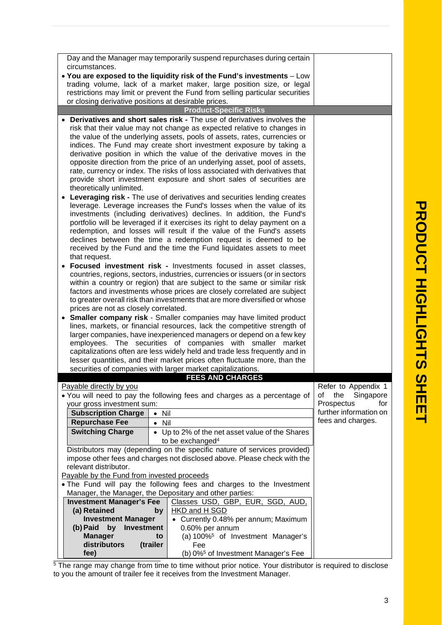| Day and the Manager may temporarily suspend repurchases during certain        |                                                                                                                                                          |                                                                                                                                                        |                                             |  |  |  |
|-------------------------------------------------------------------------------|----------------------------------------------------------------------------------------------------------------------------------------------------------|--------------------------------------------------------------------------------------------------------------------------------------------------------|---------------------------------------------|--|--|--|
| circumstances.                                                                |                                                                                                                                                          |                                                                                                                                                        |                                             |  |  |  |
| . You are exposed to the liquidity risk of the Fund's investments - Low       |                                                                                                                                                          |                                                                                                                                                        |                                             |  |  |  |
|                                                                               | trading volume, lack of a market maker, large position size, or legal                                                                                    |                                                                                                                                                        |                                             |  |  |  |
|                                                                               |                                                                                                                                                          | restrictions may limit or prevent the Fund from selling particular securities                                                                          |                                             |  |  |  |
| or closing derivative positions at desirable prices.                          |                                                                                                                                                          |                                                                                                                                                        |                                             |  |  |  |
|                                                                               |                                                                                                                                                          | <b>Product-Specific Risks</b>                                                                                                                          |                                             |  |  |  |
| <b>Derivatives and short sales risk - The use of derivatives involves the</b> |                                                                                                                                                          |                                                                                                                                                        |                                             |  |  |  |
| risk that their value may not change as expected relative to changes in       |                                                                                                                                                          |                                                                                                                                                        |                                             |  |  |  |
| the value of the underlying assets, pools of assets, rates, currencies or     |                                                                                                                                                          |                                                                                                                                                        |                                             |  |  |  |
| indices. The Fund may create short investment exposure by taking a            |                                                                                                                                                          |                                                                                                                                                        |                                             |  |  |  |
| derivative position in which the value of the derivative moves in the         |                                                                                                                                                          |                                                                                                                                                        |                                             |  |  |  |
|                                                                               | opposite direction from the price of an underlying asset, pool of assets,<br>rate, currency or index. The risks of loss associated with derivatives that |                                                                                                                                                        |                                             |  |  |  |
| provide short investment exposure and short sales of securities are           |                                                                                                                                                          |                                                                                                                                                        |                                             |  |  |  |
| theoretically unlimited.                                                      |                                                                                                                                                          |                                                                                                                                                        |                                             |  |  |  |
|                                                                               |                                                                                                                                                          | Leveraging risk - The use of derivatives and securities lending creates                                                                                |                                             |  |  |  |
| leverage. Leverage increases the Fund's losses when the value of its          |                                                                                                                                                          |                                                                                                                                                        |                                             |  |  |  |
| investments (including derivatives) declines. In addition, the Fund's         |                                                                                                                                                          |                                                                                                                                                        |                                             |  |  |  |
| portfolio will be leveraged if it exercises its right to delay payment on a   |                                                                                                                                                          |                                                                                                                                                        |                                             |  |  |  |
| redemption, and losses will result if the value of the Fund's assets          |                                                                                                                                                          |                                                                                                                                                        |                                             |  |  |  |
| declines between the time a redemption request is deemed to be                |                                                                                                                                                          |                                                                                                                                                        |                                             |  |  |  |
| received by the Fund and the time the Fund liquidates assets to meet          |                                                                                                                                                          |                                                                                                                                                        |                                             |  |  |  |
| that request.                                                                 |                                                                                                                                                          |                                                                                                                                                        |                                             |  |  |  |
| Focused investment risk - Investments focused in asset classes,               |                                                                                                                                                          |                                                                                                                                                        |                                             |  |  |  |
|                                                                               |                                                                                                                                                          | countries, regions, sectors, industries, currencies or issuers (or in sectors                                                                          |                                             |  |  |  |
|                                                                               |                                                                                                                                                          | within a country or region) that are subject to the same or similar risk                                                                               |                                             |  |  |  |
|                                                                               |                                                                                                                                                          | factors and investments whose prices are closely correlated are subject<br>to greater overall risk than investments that are more diversified or whose |                                             |  |  |  |
| prices are not as closely correlated.                                         |                                                                                                                                                          |                                                                                                                                                        |                                             |  |  |  |
| Smaller company risk - Smaller companies may have limited product             |                                                                                                                                                          |                                                                                                                                                        |                                             |  |  |  |
| lines, markets, or financial resources, lack the competitive strength of      |                                                                                                                                                          |                                                                                                                                                        |                                             |  |  |  |
| larger companies, have inexperienced managers or depend on a few key          |                                                                                                                                                          |                                                                                                                                                        |                                             |  |  |  |
| employees. The securities of companies with smaller market                    |                                                                                                                                                          |                                                                                                                                                        |                                             |  |  |  |
| capitalizations often are less widely held and trade less frequently and in   |                                                                                                                                                          |                                                                                                                                                        |                                             |  |  |  |
|                                                                               |                                                                                                                                                          | lesser quantities, and their market prices often fluctuate more, than the                                                                              |                                             |  |  |  |
|                                                                               | securities of companies with larger market capitalizations.                                                                                              |                                                                                                                                                        |                                             |  |  |  |
|                                                                               |                                                                                                                                                          | <b>FFFS AND CHARGES</b>                                                                                                                                |                                             |  |  |  |
| Payable directly by you                                                       |                                                                                                                                                          |                                                                                                                                                        | Refer to Appendix 1                         |  |  |  |
|                                                                               |                                                                                                                                                          | . You will need to pay the following fees and charges as a percentage of                                                                               | Singapore<br>of<br>the                      |  |  |  |
| your gross investment sum:                                                    |                                                                                                                                                          |                                                                                                                                                        | Prospectus<br>for                           |  |  |  |
| <b>Subscription Charge</b>                                                    | Nil<br>$\bullet$                                                                                                                                         |                                                                                                                                                        | further information on<br>fees and charges. |  |  |  |
| <b>Repurchase Fee</b>                                                         | Nil<br>$\bullet$                                                                                                                                         |                                                                                                                                                        |                                             |  |  |  |
| <b>Switching Charge</b>                                                       |                                                                                                                                                          | • Up to 2% of the net asset value of the Shares                                                                                                        |                                             |  |  |  |
|                                                                               |                                                                                                                                                          | to be exchanged <sup>4</sup>                                                                                                                           |                                             |  |  |  |
|                                                                               |                                                                                                                                                          | Distributors may (depending on the specific nature of services provided)                                                                               |                                             |  |  |  |
| relevant distributor.                                                         |                                                                                                                                                          | impose other fees and charges not disclosed above. Please check with the                                                                               |                                             |  |  |  |
| Payable by the Fund from invested proceeds                                    |                                                                                                                                                          |                                                                                                                                                        |                                             |  |  |  |
|                                                                               | . The Fund will pay the following fees and charges to the Investment                                                                                     |                                                                                                                                                        |                                             |  |  |  |
| Manager, the Manager, the Depositary and other parties:                       |                                                                                                                                                          |                                                                                                                                                        |                                             |  |  |  |
| <b>Investment Manager's Fee</b>                                               |                                                                                                                                                          | Classes USD, GBP, EUR, SGD, AUD,                                                                                                                       |                                             |  |  |  |
| (a) Retained                                                                  | by                                                                                                                                                       | <b>HKD and H SGD</b>                                                                                                                                   |                                             |  |  |  |
| <b>Investment Manager</b>                                                     |                                                                                                                                                          | • Currently 0.48% per annum; Maximum                                                                                                                   |                                             |  |  |  |
| (b) Paid<br>by<br>Investment                                                  |                                                                                                                                                          | 0.60% per annum                                                                                                                                        |                                             |  |  |  |
| <b>Manager</b><br>to                                                          |                                                                                                                                                          | (a) 100% <sup>5</sup> of Investment Manager's                                                                                                          |                                             |  |  |  |
| distributors                                                                  | (trailer                                                                                                                                                 | Fee                                                                                                                                                    |                                             |  |  |  |
| fee)                                                                          |                                                                                                                                                          | (b) 0% <sup>5</sup> of Investment Manager's Fee                                                                                                        |                                             |  |  |  |

<sup>5</sup> The range may change from time to time without prior notice. Your distributor is required to disclose to you the amount of trailer fee it receives from the Investment Manager.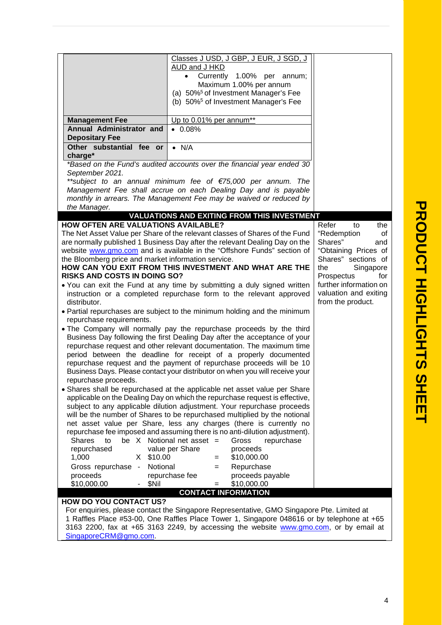|                                                                                                      | Classes J USD, J GBP, J EUR, J SGD, J<br>AUD and J HKD                                                                                                                                  |                                         |
|------------------------------------------------------------------------------------------------------|-----------------------------------------------------------------------------------------------------------------------------------------------------------------------------------------|-----------------------------------------|
|                                                                                                      | Currently 1.00% per annum;<br>$\bullet$                                                                                                                                                 |                                         |
|                                                                                                      | Maximum 1.00% per annum                                                                                                                                                                 |                                         |
|                                                                                                      | (a) 50% <sup>5</sup> of Investment Manager's Fee                                                                                                                                        |                                         |
|                                                                                                      | (b) 50% <sup>5</sup> of Investment Manager's Fee                                                                                                                                        |                                         |
| <b>Management Fee</b>                                                                                | Up to 0.01% per annum**                                                                                                                                                                 |                                         |
| Annual Administrator and                                                                             | $\bullet$ 0.08%                                                                                                                                                                         |                                         |
| <b>Depositary Fee</b>                                                                                |                                                                                                                                                                                         |                                         |
| Other substantial fee or<br>charge*                                                                  | $\bullet$ N/A                                                                                                                                                                           |                                         |
|                                                                                                      | *Based on the Fund's audited accounts over the financial year ended 30                                                                                                                  |                                         |
| September 2021.                                                                                      |                                                                                                                                                                                         |                                         |
| **subject to an annual minimum fee of €75,000 per annum. The                                         |                                                                                                                                                                                         |                                         |
| Management Fee shall accrue on each Dealing Day and is payable                                       |                                                                                                                                                                                         |                                         |
| the Manager.                                                                                         | monthly in arrears. The Management Fee may be waived or reduced by                                                                                                                      |                                         |
|                                                                                                      | <b>VALUATIONS AND EXITING FROM THIS INVESTMENT</b>                                                                                                                                      |                                         |
| <b>HOW OFTEN ARE VALUATIONS AVAILABLE?</b>                                                           |                                                                                                                                                                                         | Refer<br>the<br>to                      |
| The Net Asset Value per Share of the relevant classes of Shares of the Fund                          | "Redemption<br>0f                                                                                                                                                                       |                                         |
| are normally published 1 Business Day after the relevant Dealing Day on the                          | Shares"<br>and                                                                                                                                                                          |                                         |
| website www.gmo.com and is available in the "Offshore Funds" section of                              | "Obtaining Prices of                                                                                                                                                                    |                                         |
| the Bloomberg price and market information service.                                                  | HOW CAN YOU EXIT FROM THIS INVESTMENT AND WHAT ARE THE                                                                                                                                  | Shares" sections of<br>the<br>Singapore |
| <b>RISKS AND COSTS IN DOING SO?</b>                                                                  |                                                                                                                                                                                         | Prospectus<br>for                       |
|                                                                                                      | • You can exit the Fund at any time by submitting a duly signed written                                                                                                                 | further information on                  |
| instruction or a completed repurchase form to the relevant approved                                  | valuation and exiting                                                                                                                                                                   |                                         |
| distributor.                                                                                         | from the product.                                                                                                                                                                       |                                         |
| • Partial repurchases are subject to the minimum holding and the minimum<br>repurchase requirements. |                                                                                                                                                                                         |                                         |
|                                                                                                      | . The Company will normally pay the repurchase proceeds by the third                                                                                                                    |                                         |
|                                                                                                      | Business Day following the first Dealing Day after the acceptance of your                                                                                                               |                                         |
|                                                                                                      | repurchase request and other relevant documentation. The maximum time                                                                                                                   |                                         |
|                                                                                                      | period between the deadline for receipt of a properly documented                                                                                                                        |                                         |
|                                                                                                      | repurchase request and the payment of repurchase proceeds will be 10                                                                                                                    |                                         |
|                                                                                                      | Business Days. Please contact your distributor on when you will receive your                                                                                                            |                                         |
| repurchase proceeds.                                                                                 | • Shares shall be repurchased at the applicable net asset value per Share                                                                                                               |                                         |
|                                                                                                      | applicable on the Dealing Day on which the repurchase request is effective,                                                                                                             |                                         |
|                                                                                                      | subject to any applicable dilution adjustment. Your repurchase proceeds                                                                                                                 |                                         |
|                                                                                                      | will be the number of Shares to be repurchased multiplied by the notional                                                                                                               |                                         |
|                                                                                                      | net asset value per Share, less any charges (there is currently no                                                                                                                      |                                         |
|                                                                                                      | repurchase fee imposed and assuming there is no anti-dilution adjustment).<br>be $X$ Notional net asset =                                                                               |                                         |
| <b>Shares</b><br>to<br>repurchased                                                                   | Gross<br>repurchase<br>value per Share<br>proceeds                                                                                                                                      |                                         |
| \$10.00<br>1,000<br>X.                                                                               | \$10,000.00<br>$=$                                                                                                                                                                      |                                         |
| Notional<br>Gross repurchase -                                                                       | Repurchase<br>$=$                                                                                                                                                                       |                                         |
| proceeds                                                                                             | repurchase fee<br>proceeds payable                                                                                                                                                      |                                         |
| \$10,000.00<br>\$Nil                                                                                 | \$10,000.00<br>$=$                                                                                                                                                                      |                                         |
|                                                                                                      | <b>CONTACT INFORMATION</b>                                                                                                                                                              |                                         |
| <b>HOW DO YOU CONTACT US?</b>                                                                        |                                                                                                                                                                                         |                                         |
|                                                                                                      | For enquiries, please contact the Singapore Representative, GMO Singapore Pte. Limited at<br>1 Raffles Place #53-00, One Raffles Place Tower 1, Singapore 048616 or by telephone at +65 |                                         |

**P R O D**

1 Raffles Place #53-00, One Raffles Place Tower 1, Singapore 048616 or by telephone at +65 3163 2200, fax at +65 3163 2249, by accessing the website **www.gmo.com**, or by email at SingaporeCRM@gmo.com.